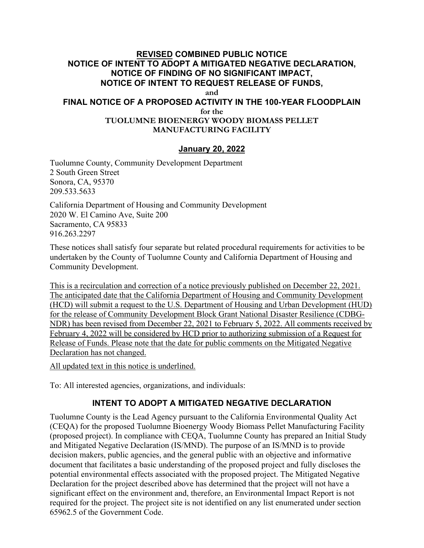### **REVISED COMBINED PUBLIC NOTICE NOTICE OF INTENT TO ADOPT A MITIGATED NEGATIVE DECLARATION, NOTICE OF FINDING OF NO SIGNIFICANT IMPACT, NOTICE OF INTENT TO REQUEST RELEASE OF FUNDS, and FINAL NOTICE OF A PROPOSED ACTIVITY IN THE 100-YEAR FLOODPLAIN for the TUOLUMNE BIOENERGY WOODY BIOMASS PELLET MANUFACTURING FACILITY**

### **January 20, 2022**

Tuolumne County, Community Development Department 2 South Green Street Sonora, CA, 95370 209.533.5633

California Department of Housing and Community Development 2020 W. El Camino Ave, Suite 200 Sacramento, CA 95833 916.263.2297

These notices shall satisfy four separate but related procedural requirements for activities to be undertaken by the County of Tuolumne County and California Department of Housing and Community Development.

This is a recirculation and correction of a notice previously published on December 22, 2021. The anticipated date that the California Department of Housing and Community Development (HCD) will submit a request to the U.S. Department of Housing and Urban Development (HUD) for the release of Community Development Block Grant National Disaster Resilience (CDBG-NDR) has been revised from December 22, 2021 to February 5, 2022. All comments received by February 4, 2022 will be considered by HCD prior to authorizing submission of a Request for Release of Funds. Please note that the date for public comments on the Mitigated Negative Declaration has not changed.

All updated text in this notice is underlined.

To: All interested agencies, organizations, and individuals:

## **INTENT TO ADOPT A MITIGATED NEGATIVE DECLARATION**

Tuolumne County is the Lead Agency pursuant to the California Environmental Quality Act (CEQA) for the proposed Tuolumne Bioenergy Woody Biomass Pellet Manufacturing Facility (proposed project). In compliance with CEQA, Tuolumne County has prepared an Initial Study and Mitigated Negative Declaration (IS/MND). The purpose of an IS/MND is to provide decision makers, public agencies, and the general public with an objective and informative document that facilitates a basic understanding of the proposed project and fully discloses the potential environmental effects associated with the proposed project. The Mitigated Negative Declaration for the project described above has determined that the project will not have a significant effect on the environment and, therefore, an Environmental Impact Report is not required for the project. The project site is not identified on any list enumerated under section 65962.5 of the Government Code.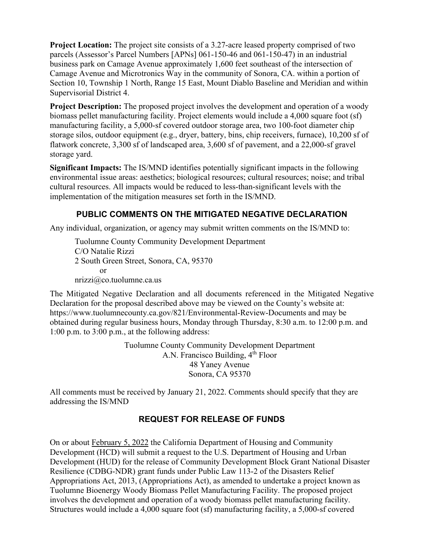**Project Location:** The project site consists of a 3.27-acre leased property comprised of two parcels (Assessor's Parcel Numbers [APNs] 061-150-46 and 061-150-47) in an industrial business park on Camage Avenue approximately 1,600 feet southeast of the intersection of Camage Avenue and Microtronics Way in the community of Sonora, CA. within a portion of Section 10, Township 1 North, Range 15 East, Mount Diablo Baseline and Meridian and within Supervisorial District 4.

**Project Description:** The proposed project involves the development and operation of a woody biomass pellet manufacturing facility. Project elements would include a 4,000 square foot (sf) manufacturing facility, a 5,000-sf covered outdoor storage area, two 100-foot diameter chip storage silos, outdoor equipment (e.g., dryer, battery, bins, chip receivers, furnace), 10,200 sf of flatwork concrete, 3,300 sf of landscaped area, 3,600 sf of pavement, and a 22,000-sf gravel storage yard.

**Significant Impacts:** The IS/MND identifies potentially significant impacts in the following environmental issue areas: aesthetics; biological resources; cultural resources; noise; and tribal cultural resources. All impacts would be reduced to less-than-significant levels with the implementation of the mitigation measures set forth in the IS/MND.

# **PUBLIC COMMENTS ON THE MITIGATED NEGATIVE DECLARATION**

Any individual, organization, or agency may submit written comments on the IS/MND to:

Tuolumne County Community Development Department C/O Natalie Rizzi 2 South Green Street, Sonora, CA, 95370 or nrizzi@co.tuolumne.ca.us

The Mitigated Negative Declaration and all documents referenced in the Mitigated Negative Declaration for the proposal described above may be viewed on the County's website at: <https://www.tuolumnecounty.ca.gov/821/Environmental-Review-Documents> and may be obtained during regular business hours, Monday through Thursday, 8:30 a.m. to 12:00 p.m. and 1:00 p.m. to 3:00 p.m., at the following address:

> Tuolumne County Community Development Department A.N. Francisco Building,  $4<sup>th</sup>$  Floor 48 Yaney Avenue Sonora, CA 95370

All comments must be received by January 21, 2022. Comments should specify that they are addressing the IS/MND

# **REQUEST FOR RELEASE OF FUNDS**

On or about February 5, 2022 the California Department of Housing and Community Development (HCD) will submit a request to the U.S. Department of Housing and Urban Development (HUD) for the release of Community Development Block Grant National Disaster Resilience (CDBG-NDR) grant funds under Public Law 113-2 of the Disasters Relief Appropriations Act, 2013, (Appropriations Act), as amended to undertake a project known as Tuolumne Bioenergy Woody Biomass Pellet Manufacturing Facility. The proposed project involves the development and operation of a woody biomass pellet manufacturing facility. Structures would include a 4,000 square foot (sf) manufacturing facility, a 5,000-sf covered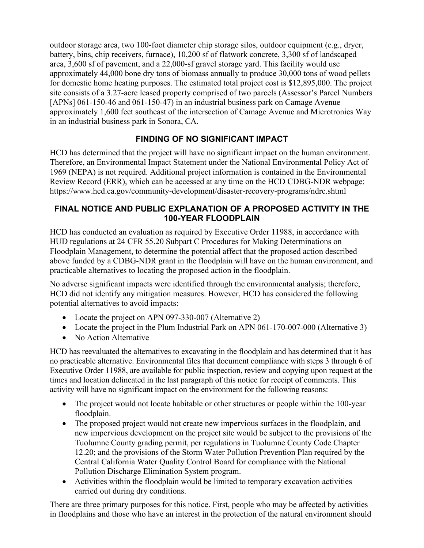outdoor storage area, two 100-foot diameter chip storage silos, outdoor equipment (e.g., dryer, battery, bins, chip receivers, furnace), 10,200 sf of flatwork concrete, 3,300 sf of landscaped area, 3,600 sf of pavement, and a 22,000-sf gravel storage yard. This facility would use approximately 44,000 bone dry tons of biomass annually to produce 30,000 tons of wood pellets for domestic home heating purposes. The estimated total project cost is \$12,895,000. The project site consists of a 3.27-acre leased property comprised of two parcels (Assessor's Parcel Numbers [APNs] 061-150-46 and 061-150-47) in an industrial business park on Camage Avenue approximately 1,600 feet southeast of the intersection of Camage Avenue and Microtronics Way in an industrial business park in Sonora, CA.

# **FINDING OF NO SIGNIFICANT IMPACT**

HCD has determined that the project will have no significant impact on the human environment. Therefore, an Environmental Impact Statement under the National Environmental Policy Act of 1969 (NEPA) is not required. Additional project information is contained in the Environmental Review Record (ERR), which can be accessed at any time on the HCD CDBG-NDR webpage: <https://www.hcd.ca.gov/community-development/disaster-recovery-programs/ndrc.shtml>

### **FINAL NOTICE AND PUBLIC EXPLANATION OF A PROPOSED ACTIVITY IN THE 100-YEAR FLOODPLAIN**

HCD has conducted an evaluation as required by Executive Order 11988, in accordance with HUD regulations at 24 CFR 55.20 Subpart C Procedures for Making Determinations on Floodplain Management, to determine the potential affect that the proposed action described above funded by a CDBG-NDR grant in the floodplain will have on the human environment, and practicable alternatives to locating the proposed action in the floodplain.

No adverse significant impacts were identified through the environmental analysis; therefore, HCD did not identify any mitigation measures. However, HCD has considered the following potential alternatives to avoid impacts:

- Locate the project on APN 097-330-007 (Alternative 2)
- Locate the project in the Plum Industrial Park on APN 061-170-007-000 (Alternative 3)
- No Action Alternative

HCD has reevaluated the alternatives to excavating in the floodplain and has determined that it has no practicable alternative. Environmental files that document compliance with steps 3 through 6 of Executive Order 11988, are available for public inspection, review and copying upon request at the times and location delineated in the last paragraph of this notice for receipt of comments. This activity will have no significant impact on the environment for the following reasons:

- The project would not locate habitable or other structures or people within the 100-year floodplain.
- The proposed project would not create new impervious surfaces in the floodplain, and new impervious development on the project site would be subject to the provisions of the Tuolumne County grading permit, per regulations in Tuolumne County Code Chapter 12.20; and the provisions of the Storm Water Pollution Prevention Plan required by the Central California Water Quality Control Board for compliance with the National Pollution Discharge Elimination System program.
- Activities within the floodplain would be limited to temporary excavation activities carried out during dry conditions.

There are three primary purposes for this notice. First, people who may be affected by activities in floodplains and those who have an interest in the protection of the natural environment should